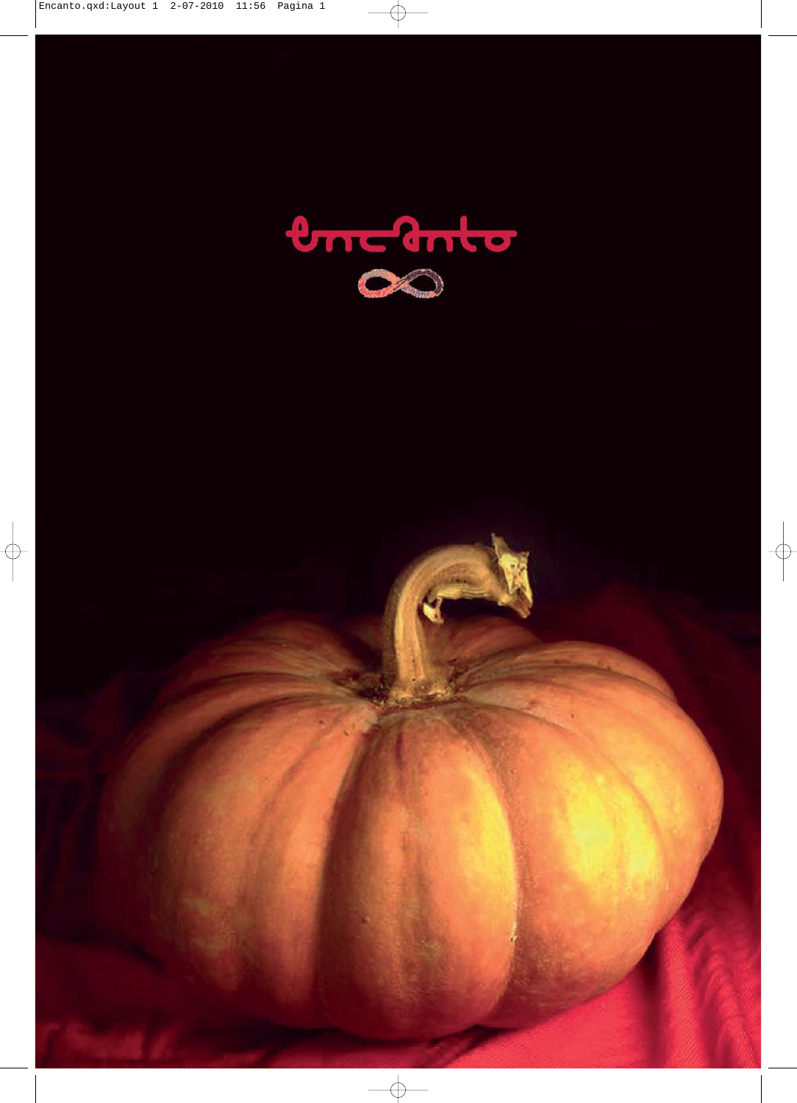